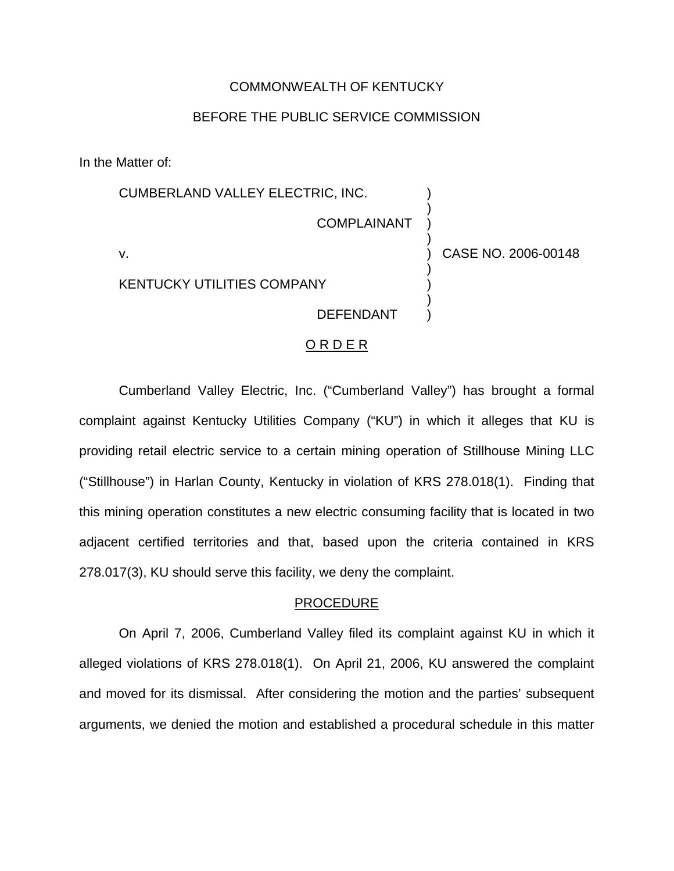## COMMONWEALTH OF KENTUCKY

# BEFORE THE PUBLIC SERVICE COMMISSION

In the Matter of:

CUMBERLAND VALLEY ELECTRIC, INC. COMPLAINANT v. ) ) ) ) ) CASE NO. 2006-00148 ) )

KENTUCKY UTILITIES COMPANY

DEFENDANT

) )

### O R D E R

Cumberland Valley Electric, Inc. ("Cumberland Valley") has brought a formal complaint against Kentucky Utilities Company ("KU") in which it alleges that KU is providing retail electric service to a certain mining operation of Stillhouse Mining LLC ("Stillhouse") in Harlan County, Kentucky in violation of KRS 278.018(1). Finding that this mining operation constitutes a new electric consuming facility that is located in two adjacent certified territories and that, based upon the criteria contained in KRS 278.017(3), KU should serve this facility, we deny the complaint.

#### PROCEDURE

On April 7, 2006, Cumberland Valley filed its complaint against KU in which it alleged violations of KRS 278.018(1). On April 21, 2006, KU answered the complaint and moved for its dismissal. After considering the motion and the parties' subsequent arguments, we denied the motion and established a procedural schedule in this matter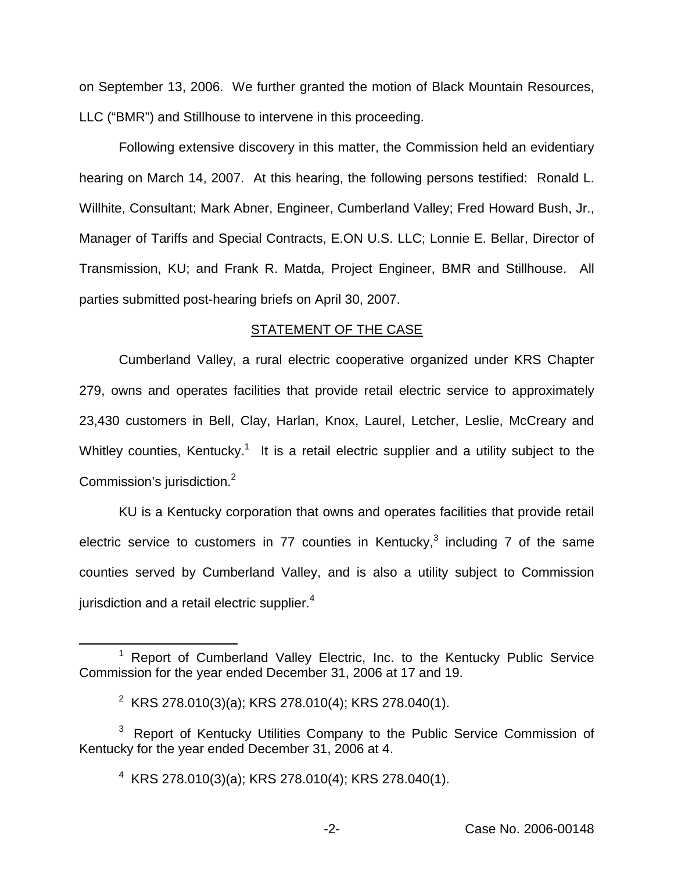on September 13, 2006. We further granted the motion of Black Mountain Resources, LLC ("BMR") and Stillhouse to intervene in this proceeding.

Following extensive discovery in this matter, the Commission held an evidentiary hearing on March 14, 2007. At this hearing, the following persons testified: Ronald L. Willhite, Consultant; Mark Abner, Engineer, Cumberland Valley; Fred Howard Bush, Jr., Manager of Tariffs and Special Contracts, E.ON U.S. LLC; Lonnie E. Bellar, Director of Transmission, KU; and Frank R. Matda, Project Engineer, BMR and Stillhouse. All parties submitted post-hearing briefs on April 30, 2007.

## STATEMENT OF THE CASE

Cumberland Valley, a rural electric cooperative organized under KRS Chapter 279, owns and operates facilities that provide retail electric service to approximately 23,430 customers in Bell, Clay, Harlan, Knox, Laurel, Letcher, Leslie, McCreary and Whitley counties, Kentucky.<sup>1</sup> It is a retail electric supplier and a utility subject to the Commission's jurisdiction.2

KU is a Kentucky corporation that owns and operates facilities that provide retail electric service to customers in 77 counties in Kentucky, $3$  including 7 of the same counties served by Cumberland Valley, and is also a utility subject to Commission jurisdiction and a retail electric supplier. $4$ 

 $1$  Report of Cumberland Valley Electric, Inc. to the Kentucky Public Service Commission for the year ended December 31, 2006 at 17 and 19.

<sup>&</sup>lt;sup>2</sup> KRS 278.010(3)(a); KRS 278.010(4); KRS 278.040(1).

 $3$  Report of Kentucky Utilities Company to the Public Service Commission of Kentucky for the year ended December 31, 2006 at 4.

 $4$  KRS 278.010(3)(a); KRS 278.010(4); KRS 278.040(1).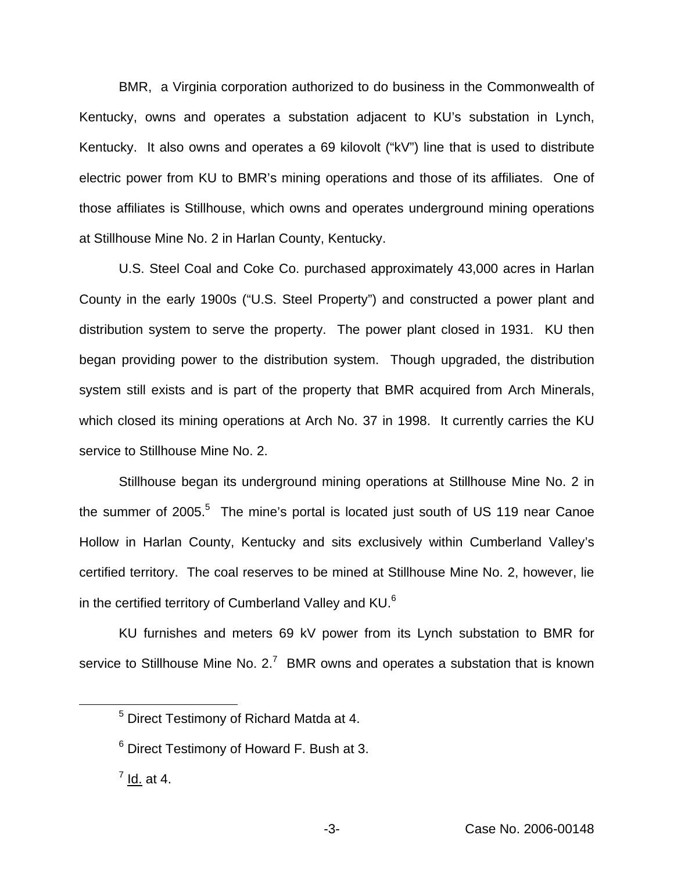BMR, a Virginia corporation authorized to do business in the Commonwealth of Kentucky, owns and operates a substation adjacent to KU's substation in Lynch, Kentucky. It also owns and operates a 69 kilovolt ("kV") line that is used to distribute electric power from KU to BMR's mining operations and those of its affiliates. One of those affiliates is Stillhouse, which owns and operates underground mining operations at Stillhouse Mine No. 2 in Harlan County, Kentucky.

U.S. Steel Coal and Coke Co. purchased approximately 43,000 acres in Harlan County in the early 1900s ("U.S. Steel Property") and constructed a power plant and distribution system to serve the property. The power plant closed in 1931. KU then began providing power to the distribution system. Though upgraded, the distribution system still exists and is part of the property that BMR acquired from Arch Minerals, which closed its mining operations at Arch No. 37 in 1998. It currently carries the KU service to Stillhouse Mine No. 2.

Stillhouse began its underground mining operations at Stillhouse Mine No. 2 in the summer of  $2005$ .<sup>5</sup> The mine's portal is located just south of US 119 near Canoe Hollow in Harlan County, Kentucky and sits exclusively within Cumberland Valley's certified territory. The coal reserves to be mined at Stillhouse Mine No. 2, however, lie in the certified territory of Cumberland Valley and KU.<sup>6</sup>

KU furnishes and meters 69 kV power from its Lynch substation to BMR for service to Stillhouse Mine No.  $2.<sup>7</sup>$  BMR owns and operates a substation that is known

<sup>5</sup> Direct Testimony of Richard Matda at 4.

<sup>6</sup> Direct Testimony of Howard F. Bush at 3.

 $<sup>7</sup>$  Id. at 4.</sup>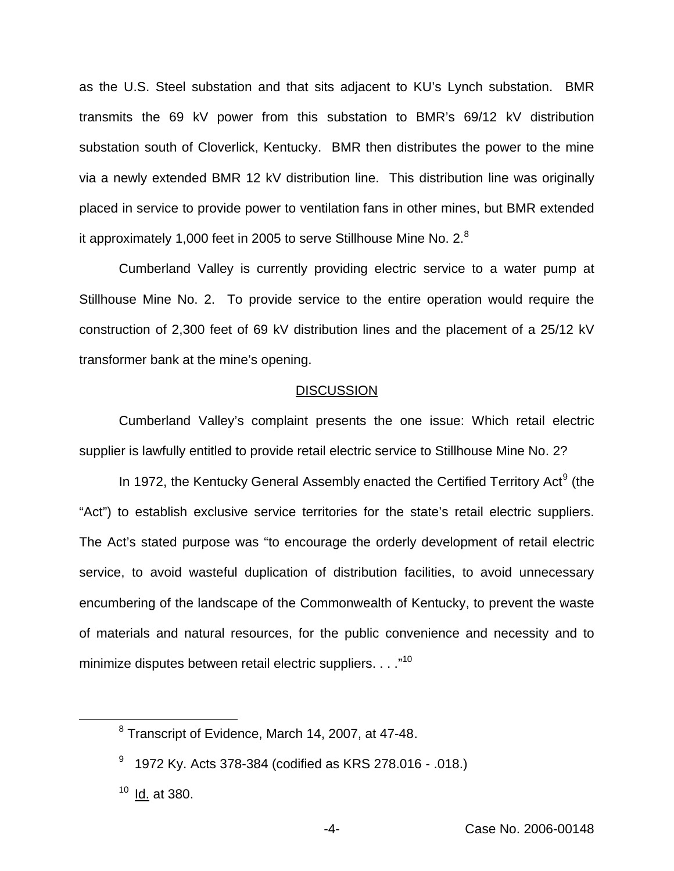as the U.S. Steel substation and that sits adjacent to KU's Lynch substation. BMR transmits the 69 kV power from this substation to BMR's 69/12 kV distribution substation south of Cloverlick, Kentucky. BMR then distributes the power to the mine via a newly extended BMR 12 kV distribution line. This distribution line was originally placed in service to provide power to ventilation fans in other mines, but BMR extended it approximately 1,000 feet in 2005 to serve Stillhouse Mine No. 2.<sup>8</sup>

Cumberland Valley is currently providing electric service to a water pump at Stillhouse Mine No. 2. To provide service to the entire operation would require the construction of 2,300 feet of 69 kV distribution lines and the placement of a 25/12 kV transformer bank at the mine's opening.

#### **DISCUSSION**

Cumberland Valley's complaint presents the one issue: Which retail electric supplier is lawfully entitled to provide retail electric service to Stillhouse Mine No. 2?

In 1972, the Kentucky General Assembly enacted the Certified Territory Act<sup>9</sup> (the "Act") to establish exclusive service territories for the state's retail electric suppliers. The Act's stated purpose was "to encourage the orderly development of retail electric service, to avoid wasteful duplication of distribution facilities, to avoid unnecessary encumbering of the landscape of the Commonwealth of Kentucky, to prevent the waste of materials and natural resources, for the public convenience and necessity and to minimize disputes between retail electric suppliers. . . . "10

<sup>8</sup> Transcript of Evidence, March 14, 2007, at 47-48.

<sup>&</sup>lt;sup>9</sup> 1972 Ky. Acts 378-384 (codified as KRS 278.016 - .018.)

 $10$  Id. at 380.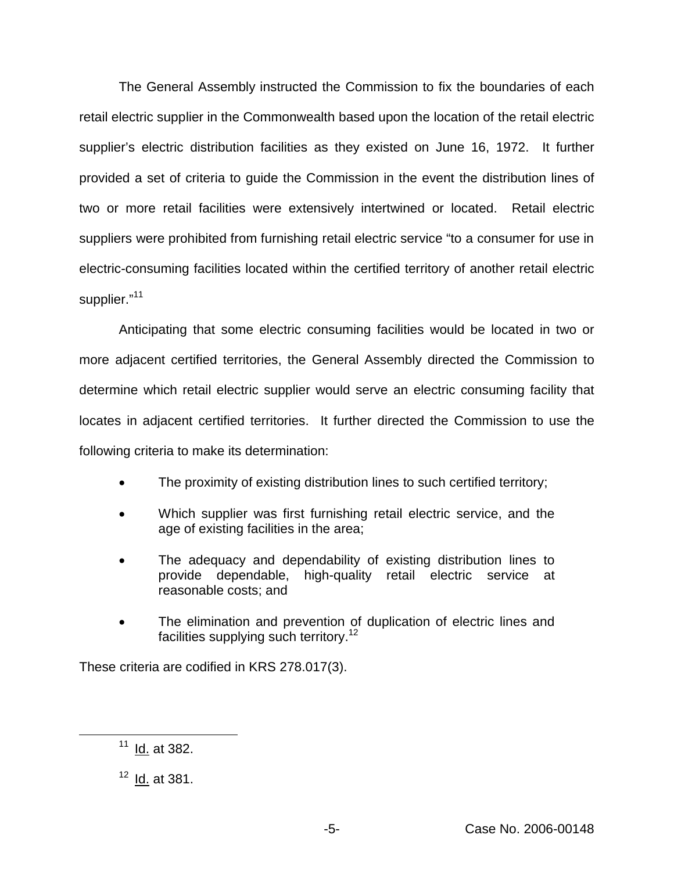The General Assembly instructed the Commission to fix the boundaries of each retail electric supplier in the Commonwealth based upon the location of the retail electric supplier's electric distribution facilities as they existed on June 16, 1972. It further provided a set of criteria to guide the Commission in the event the distribution lines of two or more retail facilities were extensively intertwined or located. Retail electric suppliers were prohibited from furnishing retail electric service "to a consumer for use in electric-consuming facilities located within the certified territory of another retail electric supplier."<sup>11</sup>

Anticipating that some electric consuming facilities would be located in two or more adjacent certified territories, the General Assembly directed the Commission to determine which retail electric supplier would serve an electric consuming facility that locates in adjacent certified territories. It further directed the Commission to use the following criteria to make its determination:

- The proximity of existing distribution lines to such certified territory;
- Which supplier was first furnishing retail electric service, and the age of existing facilities in the area;
- The adequacy and dependability of existing distribution lines to provide dependable, high-quality retail electric service at reasonable costs; and
- The elimination and prevention of duplication of electric lines and facilities supplying such territory.<sup>12</sup>

These criteria are codified in KRS 278.017(3).

 $11$  Id. at 382.

 $12$  Id. at 381.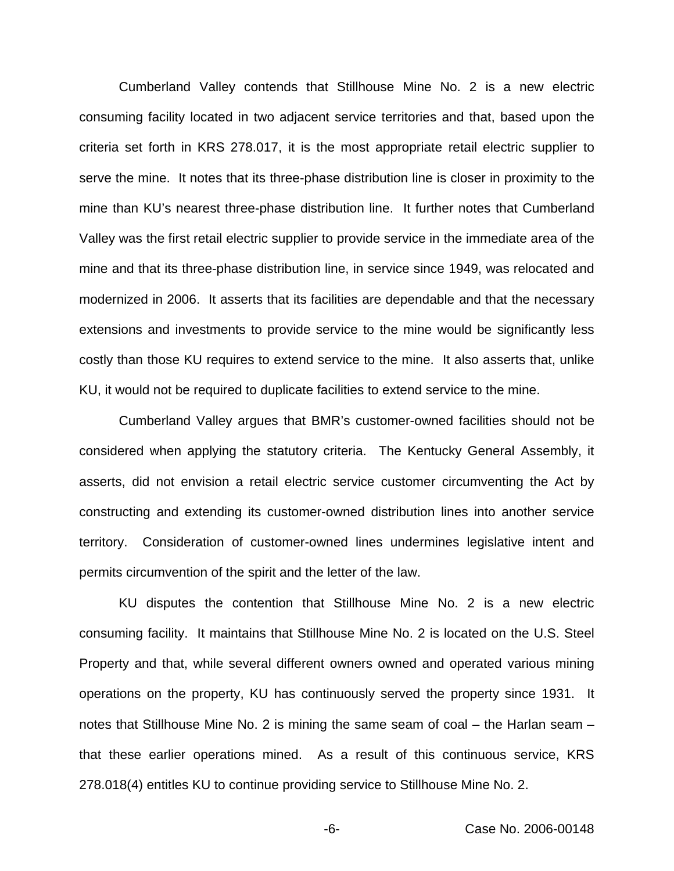Cumberland Valley contends that Stillhouse Mine No. 2 is a new electric consuming facility located in two adjacent service territories and that, based upon the criteria set forth in KRS 278.017, it is the most appropriate retail electric supplier to serve the mine. It notes that its three-phase distribution line is closer in proximity to the mine than KU's nearest three-phase distribution line. It further notes that Cumberland Valley was the first retail electric supplier to provide service in the immediate area of the mine and that its three-phase distribution line, in service since 1949, was relocated and modernized in 2006. It asserts that its facilities are dependable and that the necessary extensions and investments to provide service to the mine would be significantly less costly than those KU requires to extend service to the mine. It also asserts that, unlike KU, it would not be required to duplicate facilities to extend service to the mine.

Cumberland Valley argues that BMR's customer-owned facilities should not be considered when applying the statutory criteria. The Kentucky General Assembly, it asserts, did not envision a retail electric service customer circumventing the Act by constructing and extending its customer-owned distribution lines into another service territory. Consideration of customer-owned lines undermines legislative intent and permits circumvention of the spirit and the letter of the law.

KU disputes the contention that Stillhouse Mine No. 2 is a new electric consuming facility. It maintains that Stillhouse Mine No. 2 is located on the U.S. Steel Property and that, while several different owners owned and operated various mining operations on the property, KU has continuously served the property since 1931. It notes that Stillhouse Mine No. 2 is mining the same seam of coal – the Harlan seam – that these earlier operations mined. As a result of this continuous service, KRS 278.018(4) entitles KU to continue providing service to Stillhouse Mine No. 2.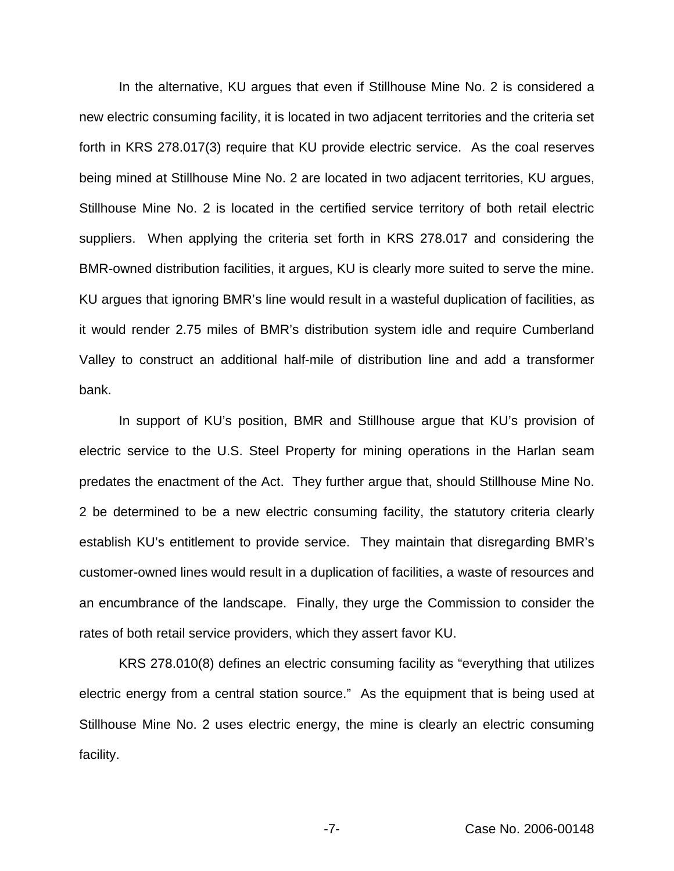In the alternative, KU argues that even if Stillhouse Mine No. 2 is considered a new electric consuming facility, it is located in two adjacent territories and the criteria set forth in KRS 278.017(3) require that KU provide electric service. As the coal reserves being mined at Stillhouse Mine No. 2 are located in two adjacent territories, KU argues, Stillhouse Mine No. 2 is located in the certified service territory of both retail electric suppliers. When applying the criteria set forth in KRS 278.017 and considering the BMR-owned distribution facilities, it argues, KU is clearly more suited to serve the mine. KU argues that ignoring BMR's line would result in a wasteful duplication of facilities, as it would render 2.75 miles of BMR's distribution system idle and require Cumberland Valley to construct an additional half-mile of distribution line and add a transformer bank.

In support of KU's position, BMR and Stillhouse argue that KU's provision of electric service to the U.S. Steel Property for mining operations in the Harlan seam predates the enactment of the Act. They further argue that, should Stillhouse Mine No. 2 be determined to be a new electric consuming facility, the statutory criteria clearly establish KU's entitlement to provide service. They maintain that disregarding BMR's customer-owned lines would result in a duplication of facilities, a waste of resources and an encumbrance of the landscape. Finally, they urge the Commission to consider the rates of both retail service providers, which they assert favor KU.

KRS 278.010(8) defines an electric consuming facility as "everything that utilizes electric energy from a central station source." As the equipment that is being used at Stillhouse Mine No. 2 uses electric energy, the mine is clearly an electric consuming facility.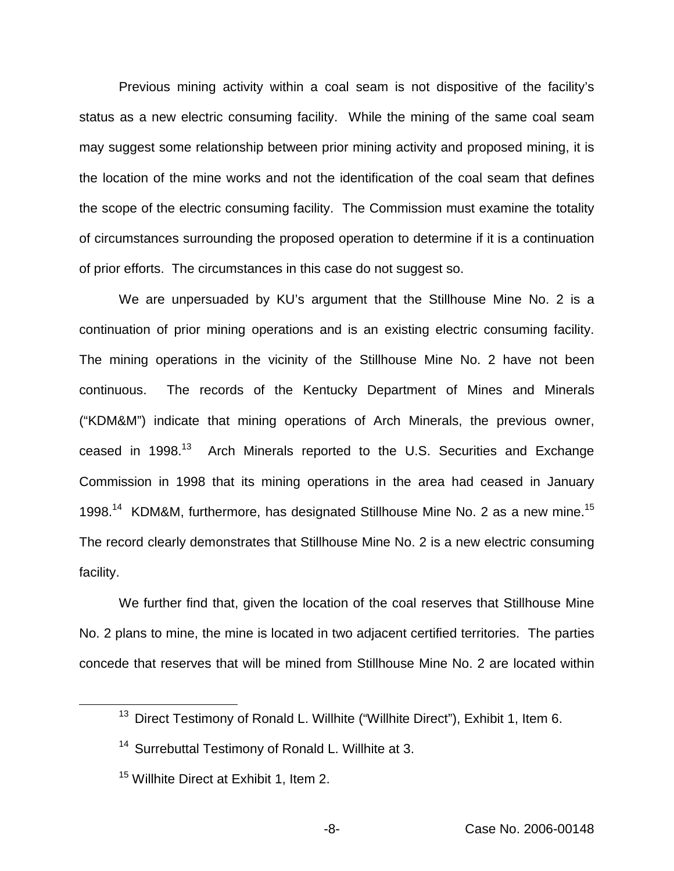Previous mining activity within a coal seam is not dispositive of the facility's status as a new electric consuming facility. While the mining of the same coal seam may suggest some relationship between prior mining activity and proposed mining, it is the location of the mine works and not the identification of the coal seam that defines the scope of the electric consuming facility. The Commission must examine the totality of circumstances surrounding the proposed operation to determine if it is a continuation of prior efforts. The circumstances in this case do not suggest so.

We are unpersuaded by KU's argument that the Stillhouse Mine No. 2 is a continuation of prior mining operations and is an existing electric consuming facility. The mining operations in the vicinity of the Stillhouse Mine No. 2 have not been continuous. The records of the Kentucky Department of Mines and Minerals ("KDM&M") indicate that mining operations of Arch Minerals, the previous owner, ceased in 1998.<sup>13</sup> Arch Minerals reported to the U.S. Securities and Exchange Commission in 1998 that its mining operations in the area had ceased in January 1998.<sup>14</sup> KDM&M, furthermore, has designated Stillhouse Mine No. 2 as a new mine.<sup>15</sup> The record clearly demonstrates that Stillhouse Mine No. 2 is a new electric consuming facility.

We further find that, given the location of the coal reserves that Stillhouse Mine No. 2 plans to mine, the mine is located in two adjacent certified territories. The parties concede that reserves that will be mined from Stillhouse Mine No. 2 are located within

<sup>&</sup>lt;sup>13</sup> Direct Testimony of Ronald L. Willhite ("Willhite Direct"), Exhibit 1, Item 6.

<sup>&</sup>lt;sup>14</sup> Surrebuttal Testimony of Ronald L. Willhite at 3.

<sup>&</sup>lt;sup>15</sup> Willhite Direct at Exhibit 1, Item 2.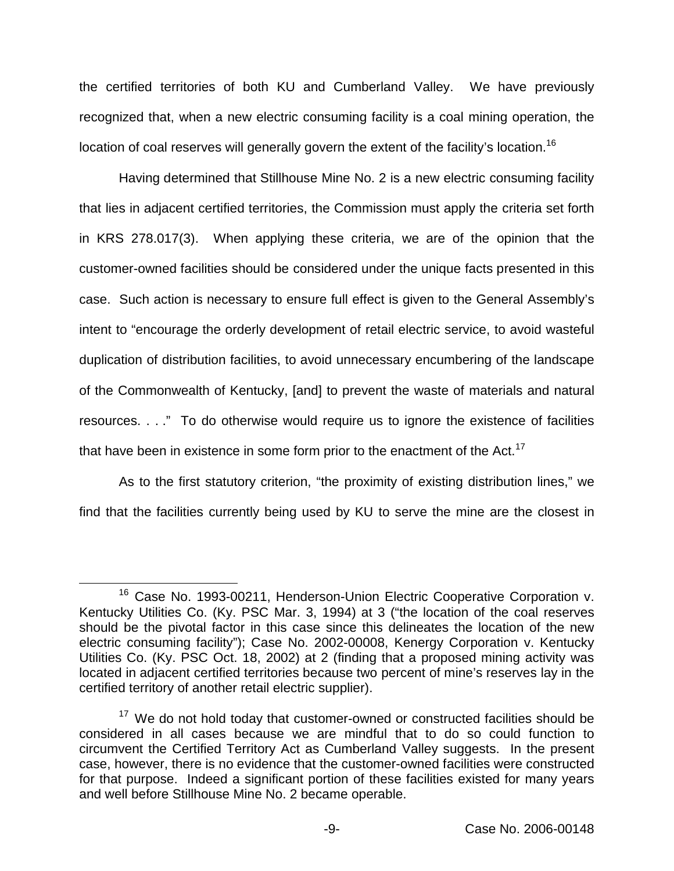the certified territories of both KU and Cumberland Valley. We have previously recognized that, when a new electric consuming facility is a coal mining operation, the location of coal reserves will generally govern the extent of the facility's location.<sup>16</sup>

Having determined that Stillhouse Mine No. 2 is a new electric consuming facility that lies in adjacent certified territories, the Commission must apply the criteria set forth in KRS 278.017(3). When applying these criteria, we are of the opinion that the customer-owned facilities should be considered under the unique facts presented in this case. Such action is necessary to ensure full effect is given to the General Assembly's intent to "encourage the orderly development of retail electric service, to avoid wasteful duplication of distribution facilities, to avoid unnecessary encumbering of the landscape of the Commonwealth of Kentucky, [and] to prevent the waste of materials and natural resources. . . ." To do otherwise would require us to ignore the existence of facilities that have been in existence in some form prior to the enactment of the Act.<sup>17</sup>

As to the first statutory criterion, "the proximity of existing distribution lines," we find that the facilities currently being used by KU to serve the mine are the closest in

<sup>&</sup>lt;sup>16</sup> Case No. 1993-00211, Henderson-Union Electric Cooperative Corporation v. Kentucky Utilities Co. (Ky. PSC Mar. 3, 1994) at 3 ("the location of the coal reserves should be the pivotal factor in this case since this delineates the location of the new electric consuming facility"); Case No. 2002-00008, Kenergy Corporation v. Kentucky Utilities Co. (Ky. PSC Oct. 18, 2002) at 2 (finding that a proposed mining activity was located in adjacent certified territories because two percent of mine's reserves lay in the certified territory of another retail electric supplier).

 $17$  We do not hold today that customer-owned or constructed facilities should be considered in all cases because we are mindful that to do so could function to circumvent the Certified Territory Act as Cumberland Valley suggests. In the present case, however, there is no evidence that the customer-owned facilities were constructed for that purpose. Indeed a significant portion of these facilities existed for many years and well before Stillhouse Mine No. 2 became operable.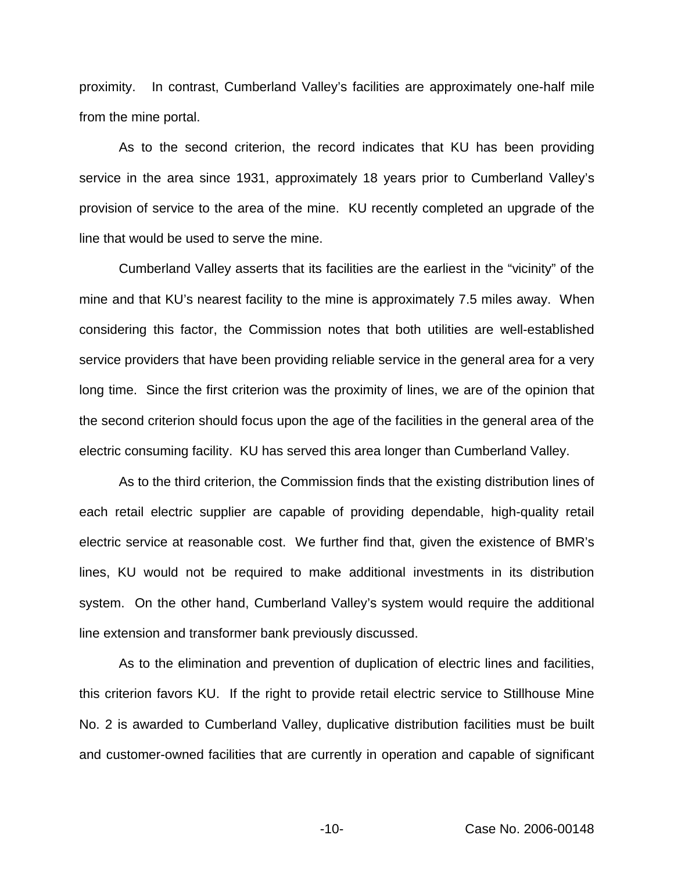proximity. In contrast, Cumberland Valley's facilities are approximately one-half mile from the mine portal.

As to the second criterion, the record indicates that KU has been providing service in the area since 1931, approximately 18 years prior to Cumberland Valley's provision of service to the area of the mine. KU recently completed an upgrade of the line that would be used to serve the mine.

Cumberland Valley asserts that its facilities are the earliest in the "vicinity" of the mine and that KU's nearest facility to the mine is approximately 7.5 miles away. When considering this factor, the Commission notes that both utilities are well-established service providers that have been providing reliable service in the general area for a very long time. Since the first criterion was the proximity of lines, we are of the opinion that the second criterion should focus upon the age of the facilities in the general area of the electric consuming facility. KU has served this area longer than Cumberland Valley.

As to the third criterion, the Commission finds that the existing distribution lines of each retail electric supplier are capable of providing dependable, high-quality retail electric service at reasonable cost. We further find that, given the existence of BMR's lines, KU would not be required to make additional investments in its distribution system. On the other hand, Cumberland Valley's system would require the additional line extension and transformer bank previously discussed.

As to the elimination and prevention of duplication of electric lines and facilities, this criterion favors KU. If the right to provide retail electric service to Stillhouse Mine No. 2 is awarded to Cumberland Valley, duplicative distribution facilities must be built and customer-owned facilities that are currently in operation and capable of significant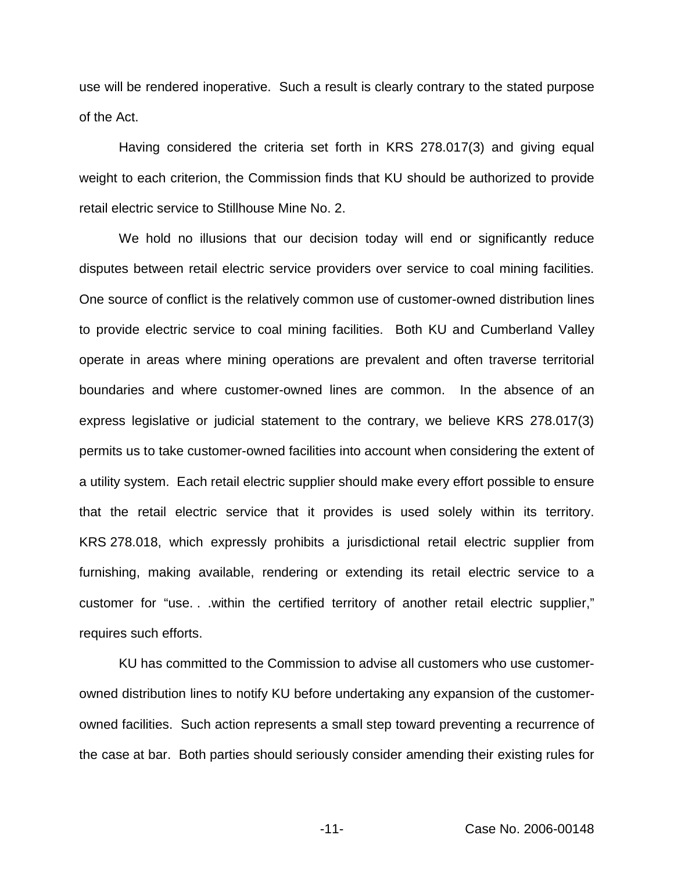use will be rendered inoperative. Such a result is clearly contrary to the stated purpose of the Act.

Having considered the criteria set forth in KRS 278.017(3) and giving equal weight to each criterion, the Commission finds that KU should be authorized to provide retail electric service to Stillhouse Mine No. 2.

We hold no illusions that our decision today will end or significantly reduce disputes between retail electric service providers over service to coal mining facilities. One source of conflict is the relatively common use of customer-owned distribution lines to provide electric service to coal mining facilities. Both KU and Cumberland Valley operate in areas where mining operations are prevalent and often traverse territorial boundaries and where customer-owned lines are common. In the absence of an express legislative or judicial statement to the contrary, we believe KRS 278.017(3) permits us to take customer-owned facilities into account when considering the extent of a utility system. Each retail electric supplier should make every effort possible to ensure that the retail electric service that it provides is used solely within its territory. KRS 278.018, which expressly prohibits a jurisdictional retail electric supplier from furnishing, making available, rendering or extending its retail electric service to a customer for "use. . .within the certified territory of another retail electric supplier," requires such efforts.

KU has committed to the Commission to advise all customers who use customerowned distribution lines to notify KU before undertaking any expansion of the customerowned facilities. Such action represents a small step toward preventing a recurrence of the case at bar. Both parties should seriously consider amending their existing rules for

-11- Case No. 2006-00148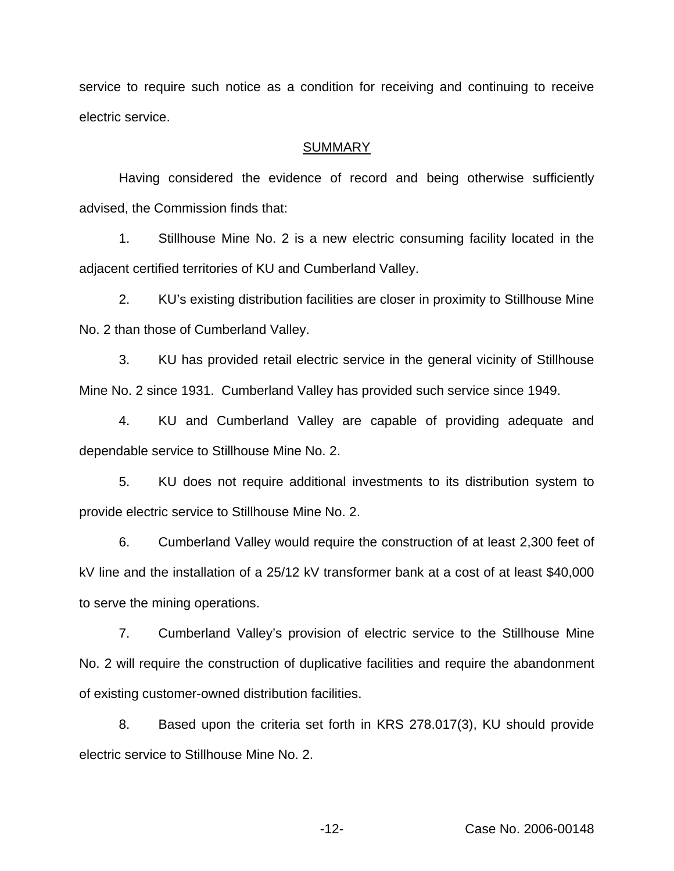service to require such notice as a condition for receiving and continuing to receive electric service.

#### **SUMMARY**

Having considered the evidence of record and being otherwise sufficiently advised, the Commission finds that:

1. Stillhouse Mine No. 2 is a new electric consuming facility located in the adjacent certified territories of KU and Cumberland Valley.

2. KU's existing distribution facilities are closer in proximity to Stillhouse Mine No. 2 than those of Cumberland Valley.

3. KU has provided retail electric service in the general vicinity of Stillhouse Mine No. 2 since 1931. Cumberland Valley has provided such service since 1949.

4. KU and Cumberland Valley are capable of providing adequate and dependable service to Stillhouse Mine No. 2.

5. KU does not require additional investments to its distribution system to provide electric service to Stillhouse Mine No. 2.

6. Cumberland Valley would require the construction of at least 2,300 feet of kV line and the installation of a 25/12 kV transformer bank at a cost of at least \$40,000 to serve the mining operations.

7. Cumberland Valley's provision of electric service to the Stillhouse Mine No. 2 will require the construction of duplicative facilities and require the abandonment of existing customer-owned distribution facilities.

8. Based upon the criteria set forth in KRS 278.017(3), KU should provide electric service to Stillhouse Mine No. 2.